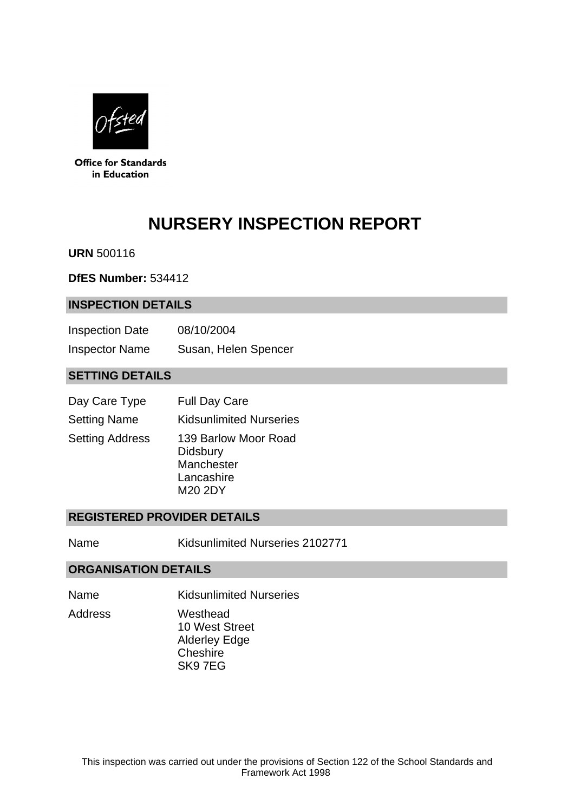

**Office for Standards** in Education

# **NURSERY INSPECTION REPORT**

**URN** 500116

**DfES Number:** 534412

## **INSPECTION DETAILS**

| <b>Inspection Date</b> | 08/10/2004           |
|------------------------|----------------------|
| <b>Inspector Name</b>  | Susan, Helen Spencer |

## **SETTING DETAILS**

| Day Care Type          | <b>Full Day Care</b>                                                    |
|------------------------|-------------------------------------------------------------------------|
| <b>Setting Name</b>    | <b>Kidsunlimited Nurseries</b>                                          |
| <b>Setting Address</b> | 139 Barlow Moor Road<br>Didsbury<br>Manchester<br>Lancashire<br>M20 2DY |

## **REGISTERED PROVIDER DETAILS**

Name Kidsunlimited Nurseries 2102771

## **ORGANISATION DETAILS**

Name Kidsunlimited Nurseries Address Westhead

10 West Street Alderley Edge **Cheshire** SK9 7EG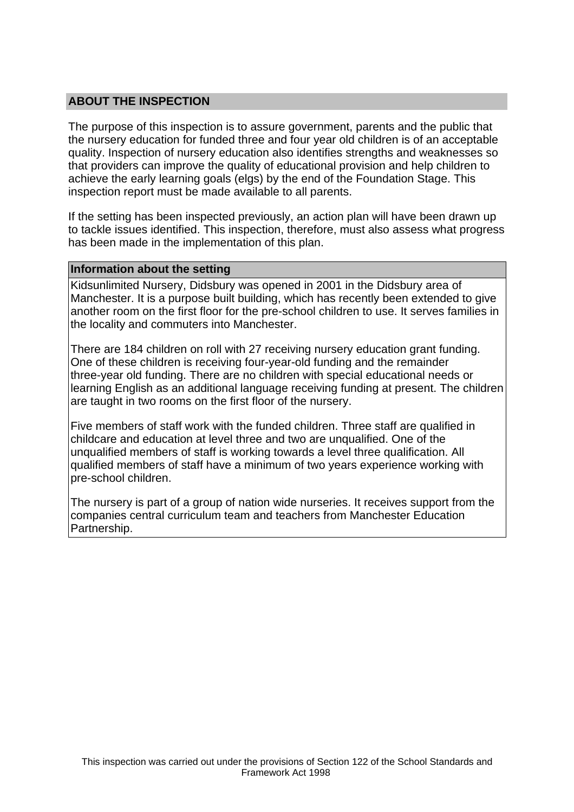## **ABOUT THE INSPECTION**

The purpose of this inspection is to assure government, parents and the public that the nursery education for funded three and four year old children is of an acceptable quality. Inspection of nursery education also identifies strengths and weaknesses so that providers can improve the quality of educational provision and help children to achieve the early learning goals (elgs) by the end of the Foundation Stage. This inspection report must be made available to all parents.

If the setting has been inspected previously, an action plan will have been drawn up to tackle issues identified. This inspection, therefore, must also assess what progress has been made in the implementation of this plan.

#### **Information about the setting**

Kidsunlimited Nursery, Didsbury was opened in 2001 in the Didsbury area of Manchester. It is a purpose built building, which has recently been extended to give another room on the first floor for the pre-school children to use. It serves families in the locality and commuters into Manchester.

There are 184 children on roll with 27 receiving nursery education grant funding. One of these children is receiving four-year-old funding and the remainder three-year old funding. There are no children with special educational needs or learning English as an additional language receiving funding at present. The children are taught in two rooms on the first floor of the nursery.

Five members of staff work with the funded children. Three staff are qualified in childcare and education at level three and two are unqualified. One of the unqualified members of staff is working towards a level three qualification. All qualified members of staff have a minimum of two years experience working with pre-school children.

The nursery is part of a group of nation wide nurseries. It receives support from the companies central curriculum team and teachers from Manchester Education Partnership.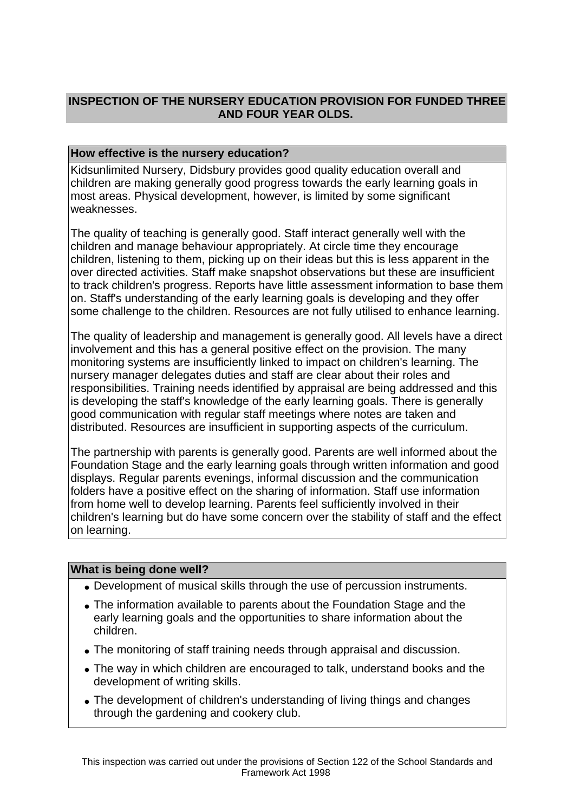# **INSPECTION OF THE NURSERY EDUCATION PROVISION FOR FUNDED THREE AND FOUR YEAR OLDS.**

## **How effective is the nursery education?**

Kidsunlimited Nursery, Didsbury provides good quality education overall and children are making generally good progress towards the early learning goals in most areas. Physical development, however, is limited by some significant weaknesses.

The quality of teaching is generally good. Staff interact generally well with the children and manage behaviour appropriately. At circle time they encourage children, listening to them, picking up on their ideas but this is less apparent in the over directed activities. Staff make snapshot observations but these are insufficient to track children's progress. Reports have little assessment information to base them on. Staff's understanding of the early learning goals is developing and they offer some challenge to the children. Resources are not fully utilised to enhance learning.

The quality of leadership and management is generally good. All levels have a direct involvement and this has a general positive effect on the provision. The many monitoring systems are insufficiently linked to impact on children's learning. The nursery manager delegates duties and staff are clear about their roles and responsibilities. Training needs identified by appraisal are being addressed and this is developing the staff's knowledge of the early learning goals. There is generally good communication with regular staff meetings where notes are taken and distributed. Resources are insufficient in supporting aspects of the curriculum.

The partnership with parents is generally good. Parents are well informed about the Foundation Stage and the early learning goals through written information and good displays. Regular parents evenings, informal discussion and the communication folders have a positive effect on the sharing of information. Staff use information from home well to develop learning. Parents feel sufficiently involved in their children's learning but do have some concern over the stability of staff and the effect on learning.

## **What is being done well?**

- Development of musical skills through the use of percussion instruments.
- The information available to parents about the Foundation Stage and the early learning goals and the opportunities to share information about the children.
- The monitoring of staff training needs through appraisal and discussion.
- The way in which children are encouraged to talk, understand books and the development of writing skills.
- The development of children's understanding of living things and changes through the gardening and cookery club.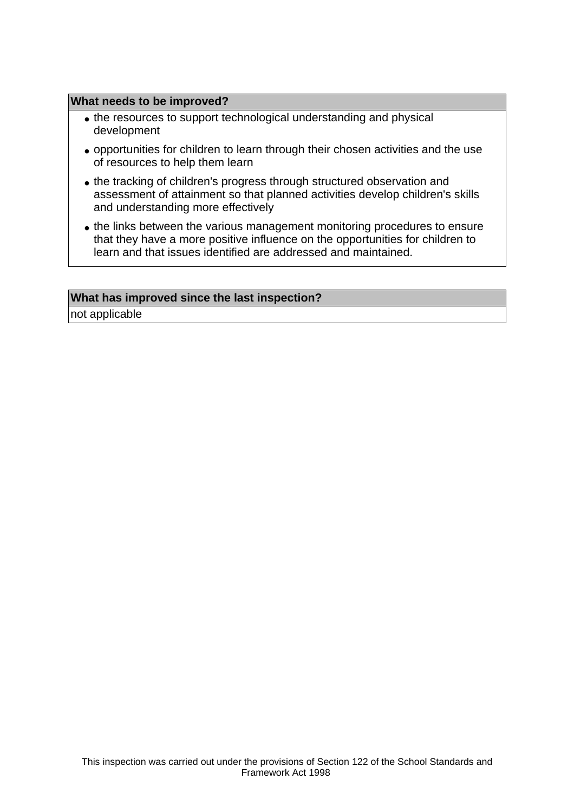#### **What needs to be improved?**

- the resources to support technological understanding and physical development
- opportunities for children to learn through their chosen activities and the use of resources to help them learn
- the tracking of children's progress through structured observation and assessment of attainment so that planned activities develop children's skills and understanding more effectively
- the links between the various management monitoring procedures to ensure that they have a more positive influence on the opportunities for children to learn and that issues identified are addressed and maintained.

#### **What has improved since the last inspection?**

not applicable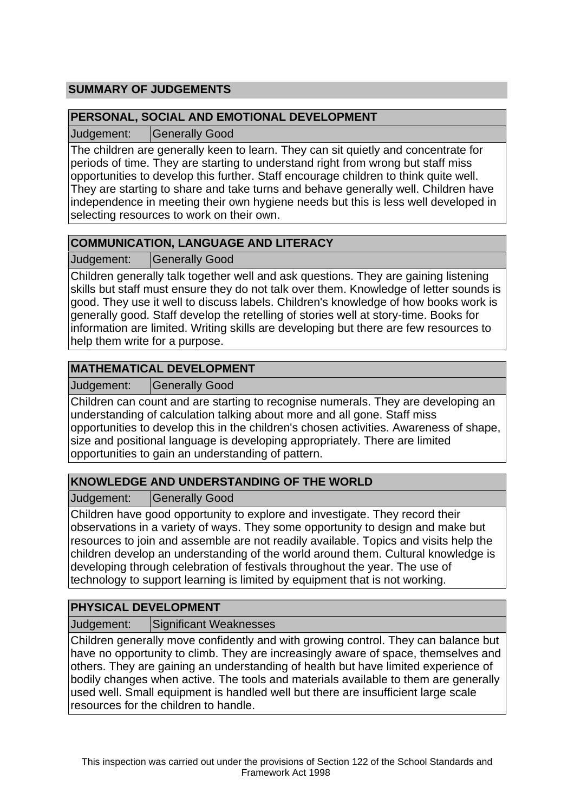# **SUMMARY OF JUDGEMENTS**

## **PERSONAL, SOCIAL AND EMOTIONAL DEVELOPMENT**

Judgement: Generally Good

The children are generally keen to learn. They can sit quietly and concentrate for periods of time. They are starting to understand right from wrong but staff miss opportunities to develop this further. Staff encourage children to think quite well. They are starting to share and take turns and behave generally well. Children have independence in meeting their own hygiene needs but this is less well developed in selecting resources to work on their own.

# **COMMUNICATION, LANGUAGE AND LITERACY**

Judgement: Generally Good

Children generally talk together well and ask questions. They are gaining listening skills but staff must ensure they do not talk over them. Knowledge of letter sounds is good. They use it well to discuss labels. Children's knowledge of how books work is generally good. Staff develop the retelling of stories well at story-time. Books for information are limited. Writing skills are developing but there are few resources to help them write for a purpose.

# **MATHEMATICAL DEVELOPMENT**

Judgement: Generally Good

Children can count and are starting to recognise numerals. They are developing an understanding of calculation talking about more and all gone. Staff miss opportunities to develop this in the children's chosen activities. Awareness of shape, size and positional language is developing appropriately. There are limited opportunities to gain an understanding of pattern.

# **KNOWLEDGE AND UNDERSTANDING OF THE WORLD**

Judgement: Generally Good

Children have good opportunity to explore and investigate. They record their observations in a variety of ways. They some opportunity to design and make but resources to join and assemble are not readily available. Topics and visits help the children develop an understanding of the world around them. Cultural knowledge is developing through celebration of festivals throughout the year. The use of technology to support learning is limited by equipment that is not working.

# **PHYSICAL DEVELOPMENT**

Judgement: Significant Weaknesses

Children generally move confidently and with growing control. They can balance but have no opportunity to climb. They are increasingly aware of space, themselves and others. They are gaining an understanding of health but have limited experience of bodily changes when active. The tools and materials available to them are generally used well. Small equipment is handled well but there are insufficient large scale resources for the children to handle.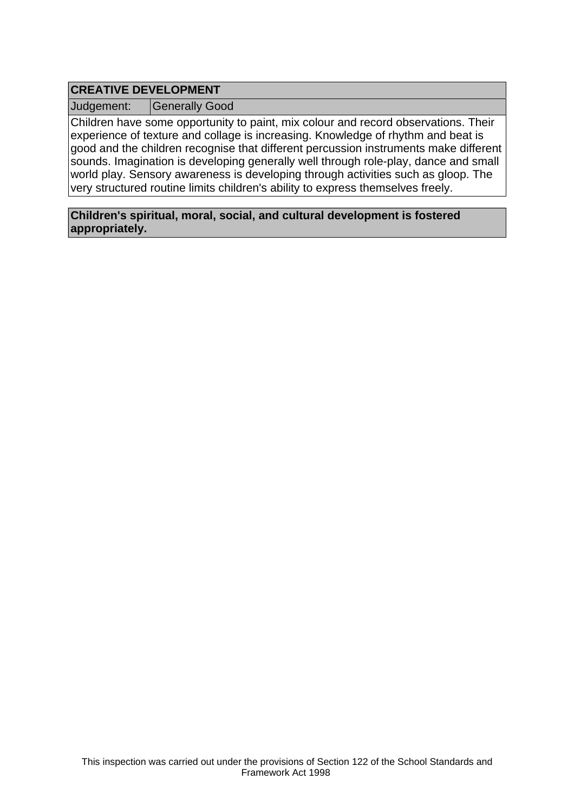# **CREATIVE DEVELOPMENT**

Judgement: | Generally Good

Children have some opportunity to paint, mix colour and record observations. Their experience of texture and collage is increasing. Knowledge of rhythm and beat is good and the children recognise that different percussion instruments make different sounds. Imagination is developing generally well through role-play, dance and small world play. Sensory awareness is developing through activities such as gloop. The very structured routine limits children's ability to express themselves freely.

**Children's spiritual, moral, social, and cultural development is fostered appropriately.**